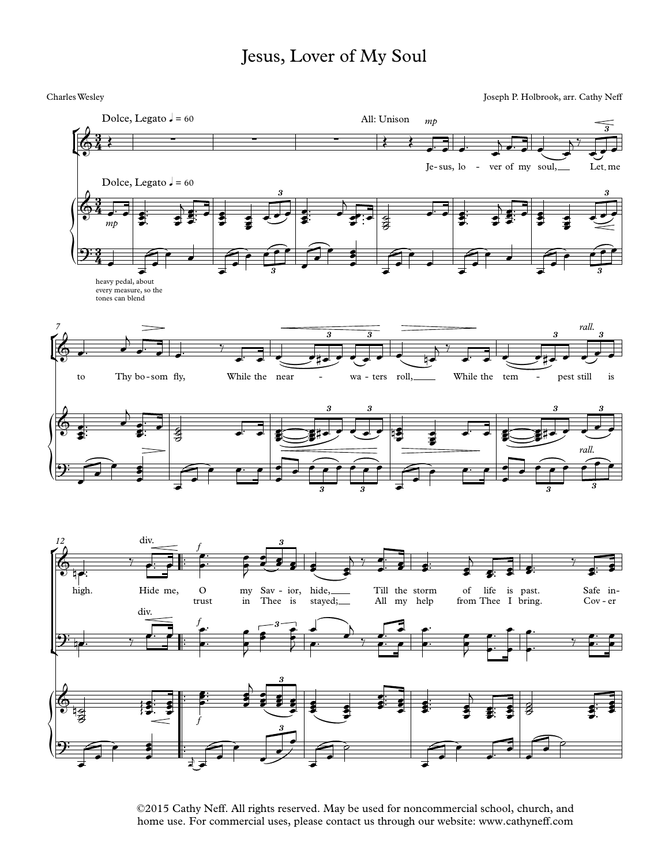## Jesus, Lover of My Soul

Charles Wesley Joseph P. Holbrook, arr. Cathy Neff



©2015 Cathy Neff. All rights reserved. May be used for noncommercial school, church, and home use. For commercial uses, please contact us through our website: www.cathyneff.com